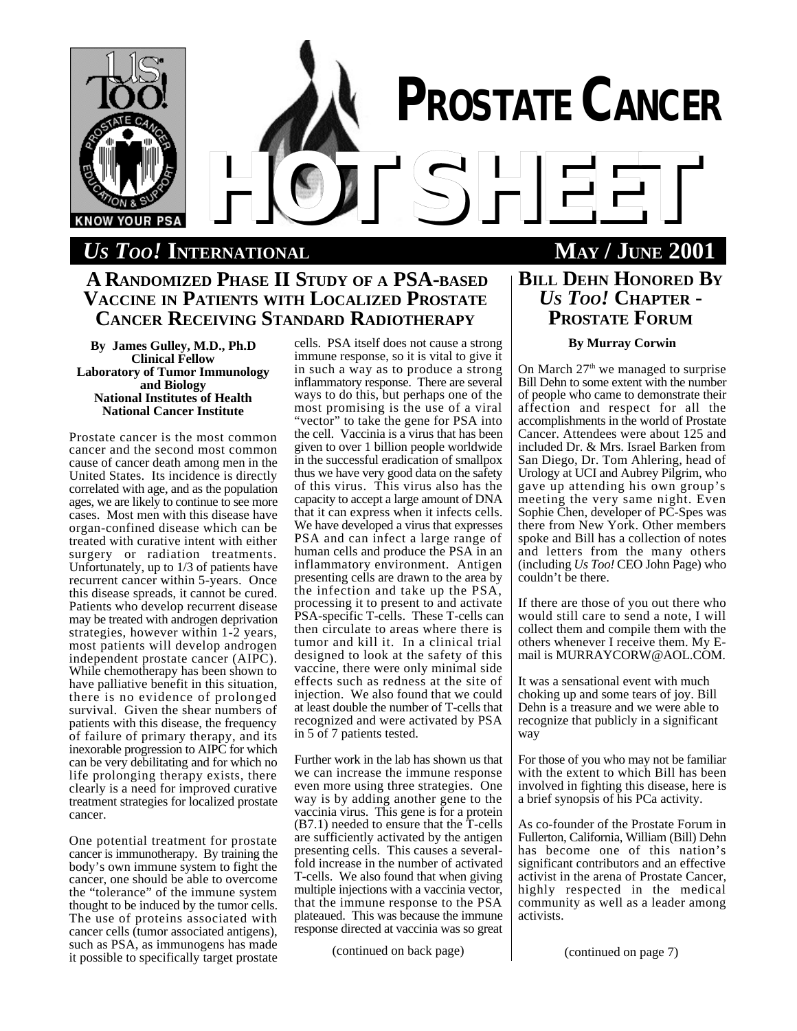

# *US TOO!* **INTERNATIONAL MAY / JUNE 2001**

# **A RANDOMIZED PHASE II STUDY OF A PSA-BASED VACCINE IN PATIENTS WITH LOCALIZED PROSTATE CANCER RECEIVING STANDARD RADIOTHERAPY**

**By James Gulley, M.D., Ph.D Clinical Fellow Laboratory of Tumor Immunology and Biology National Institutes of Health National Cancer Institute**

Prostate cancer is the most common cancer and the second most common cause of cancer death among men in the United States. Its incidence is directly correlated with age, and as the population ages, we are likely to continue to see more cases. Most men with this disease have organ-confined disease which can be treated with curative intent with either surgery or radiation treatments. Unfortunately, up to 1/3 of patients have recurrent cancer within 5-years. Once this disease spreads, it cannot be cured. Patients who develop recurrent disease may be treated with androgen deprivation strategies, however within 1-2 years, most patients will develop androgen independent prostate cancer (AIPC). While chemotherapy has been shown to have palliative benefit in this situation, there is no evidence of prolonged survival. Given the shear numbers of patients with this disease, the frequency of failure of primary therapy, and its inexorable progression to AIPC for which can be very debilitating and for which no life prolonging therapy exists, there clearly is a need for improved curative treatment strategies for localized prostate cancer.

One potential treatment for prostate cancer is immunotherapy. By training the body's own immune system to fight the cancer, one should be able to overcome the "tolerance" of the immune system thought to be induced by the tumor cells. The use of proteins associated with cancer cells (tumor associated antigens), such as PSA, as immunogens has made it possible to specifically target prostate

cells. PSA itself does not cause a strong immune response, so it is vital to give it in such a way as to produce a strong inflammatory response. There are several ways to do this, but perhaps one of the most promising is the use of a viral "vector" to take the gene for PSA into the cell. Vaccinia is a virus that has been given to over 1 billion people worldwide in the successful eradication of smallpox thus we have very good data on the safety of this virus. This virus also has the capacity to accept a large amount of DNA that it can express when it infects cells. We have developed a virus that expresses PSA and can infect a large range of human cells and produce the PSA in an inflammatory environment. Antigen presenting cells are drawn to the area by the infection and take up the PSA, processing it to present to and activate PSA-specific T-cells. These T-cells can then circulate to areas where there is tumor and kill it. In a clinical trial designed to look at the safety of this vaccine, there were only minimal side effects such as redness at the site of injection. We also found that we could at least double the number of T-cells that recognized and were activated by PSA in 5 of 7 patients tested.

Further work in the lab has shown us that we can increase the immune response even more using three strategies. One way is by adding another gene to the vaccinia virus. This gene is for a protein (B7.1) needed to ensure that the T-cells are sufficiently activated by the antigen presenting cells. This causes a severalfold increase in the number of activated T-cells. We also found that when giving multiple injections with a vaccinia vector, that the immune response to the PSA plateaued. This was because the immune response directed at vaccinia was so great

(continued on back page)

# **BILL DEHN HONORED BY** *US TOO!* **CHAPTER - PROSTATE FORUM**

# **By Murray Corwin**

On March  $27<sup>th</sup>$  we managed to surprise Bill Dehn to some extent with the number of people who came to demonstrate their affection and respect for all the accomplishments in the world of Prostate Cancer. Attendees were about 125 and included Dr. & Mrs. Israel Barken from San Diego, Dr. Tom Ahlering, head of Urology at UCI and Aubrey Pilgrim, who gave up attending his own group's meeting the very same night. Even Sophie Chen, developer of PC-Spes was there from New York. Other members spoke and Bill has a collection of notes and letters from the many others (including *Us Too!* CEO John Page) who couldn't be there.

If there are those of you out there who would still care to send a note, I will collect them and compile them with the others whenever I receive them. My Email is MURRAYCORW@AOL.COM.

It was a sensational event with much choking up and some tears of joy. Bill Dehn is a treasure and we were able to recognize that publicly in a significant way

For those of you who may not be familiar with the extent to which Bill has been involved in fighting this disease, here is a brief synopsis of his PCa activity.

As co-founder of the Prostate Forum in Fullerton, California, William (Bill) Dehn has become one of this nation's significant contributors and an effective activist in the arena of Prostate Cancer, highly respected in the medical community as well as a leader among activists.

(continued on page 7)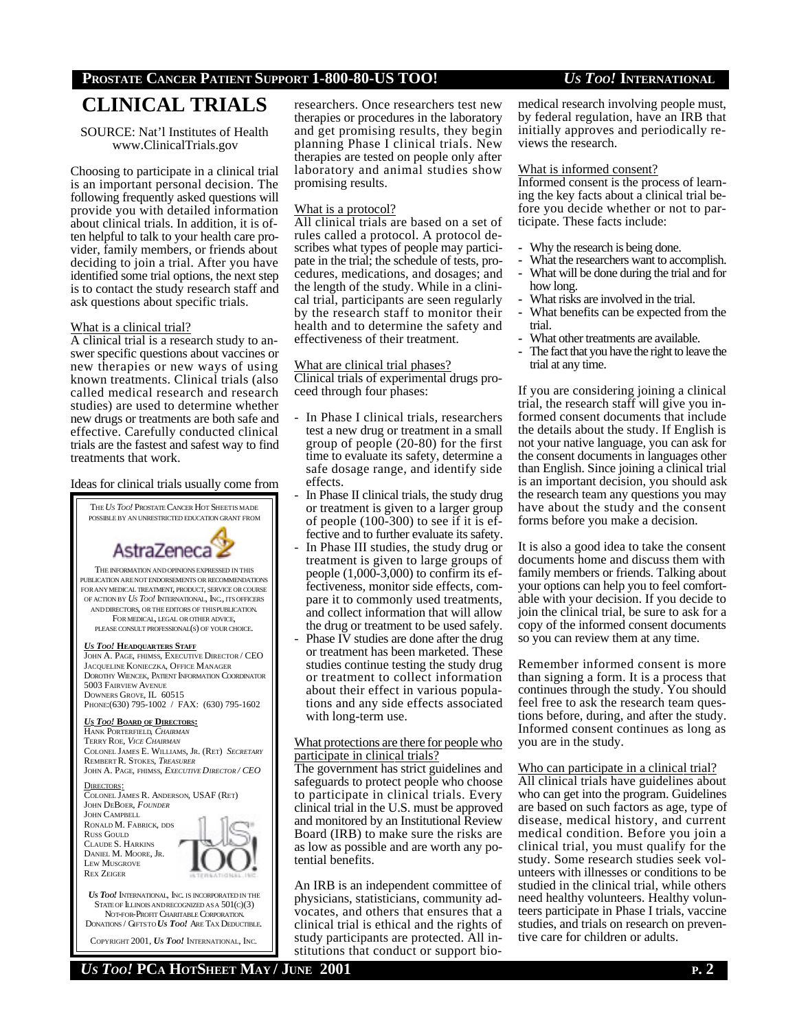# **PROSTATE CANCER PATIENT SUPPORT 1-800-80-US TOO!** *US TOO!* **INTERNATIONAL**

# **CLINICAL TRIALS**

SOURCE: Nat'l Institutes of Health www.ClinicalTrials.gov

Choosing to participate in a clinical trial is an important personal decision. The following frequently asked questions will provide you with detailed information about clinical trials. In addition, it is often helpful to talk to your health care provider, family members, or friends about deciding to join a trial. After you have identified some trial options, the next step is to contact the study research staff and ask questions about specific trials.

### What is a clinical trial?

A clinical trial is a research study to answer specific questions about vaccines or new therapies or new ways of using known treatments. Clinical trials (also called medical research and research studies) are used to determine whether new drugs or treatments are both safe and effective. Carefully conducted clinical trials are the fastest and safest way to find treatments that work.

## Ideas for clinical trials usually come from

THE*US TOO!* PROSTATE CANCER HOT SHEETIS MADE POSSIBLE BY AN UNRESTRICTED EDUCATION GRANT FROM



THE INFORMATION ANDOPINIONSEXPRESSED IN THIS PUBLICATION ARE NOT ENDORSEMENTS OR RECOMMENDATIONS FOR ANY MEDICAL TREATMENT, PRODUCT, SERVICE OR COURSE OF ACTION BY *US TOO!* INTERNATIONAL, INC., ITS OFFICERS AND DIRECTORS, OR THE EDITORS OF THISPUBLICATION. FOR MEDICAL, LEGAL OR OTHER ADVICE, PLEASE CONSULT PROFESSIONAL(S) OF YOUR CHOICE.

#### *US TOO!* **HEADQUARTERS STAFF**

JOHN A. PAGE, FHIMSS, EXECUTIVE DIRECTOR / CEO JACQUELINE KONIECZKA, OFFICE MANAGER DOROTHY WIENCEK, PATIENT INFORMATION COORDINATOR 5003 FAIRVIEW AVENUE DOWNERS GROVE, IL 60515 PHONE:(630) 795-1002 / FAX: (630) 795-1602

#### *US TOO!* **BOARD OF DIRECTORS:**

HANK PORTERFIELD, *CHAIRMAN* TERRY ROE, *VICE CHAIRMAN* COLONEL JAMES E. WILLIAMS, JR. (RET) *SECRETARY* REMBERT R. STOKES, *TREASURER* JOHN A. PAGE, FHIMSS, *EXECUTIVE DIRECTOR / CEO*

DIRECTORS: COLONEL JAMES R. ANDERSON, USAF (RET) JOHN DEBOER, *FOUNDER* JOHN CAMPBELL RONALD M. FABRICK, DDS RUSS GOULD CLAUDE S. HARKINS DANIEL M. MOORE, JR. LEW MUSGROVE REX ZEIGER



COPYRIGHT 2001, *US TOO!* INTERNATIONAL, INC.

researchers. Once researchers test new therapies or procedures in the laboratory and get promising results, they begin planning Phase I clinical trials. New therapies are tested on people only after laboratory and animal studies show promising results.

### What is a protocol?

All clinical trials are based on a set of rules called a protocol. A protocol describes what types of people may participate in the trial; the schedule of tests, procedures, medications, and dosages; and the length of the study. While in a clinical trial, participants are seen regularly by the research staff to monitor their health and to determine the safety and effectiveness of their treatment.

## What are clinical trial phases?

Clinical trials of experimental drugs proceed through four phases:

- In Phase I clinical trials, researchers test a new drug or treatment in a small group of people (20-80) for the first time to evaluate its safety, determine a safe dosage range, and identify side effects.
- In Phase II clinical trials, the study drug or treatment is given to a larger group of people (100-300) to see if it is effective and to further evaluate its safety.
- In Phase III studies, the study drug or treatment is given to large groups of people (1,000-3,000) to confirm its effectiveness, monitor side effects, compare it to commonly used treatments, and collect information that will allow the drug or treatment to be used safely.
- Phase IV studies are done after the drug or treatment has been marketed. These studies continue testing the study drug or treatment to collect information about their effect in various populations and any side effects associated with long-term use.

### What protections are there for people who participate in clinical trials?

The government has strict guidelines and safeguards to protect people who choose to participate in clinical trials. Every clinical trial in the U.S. must be approved and monitored by an Institutional Review Board (IRB) to make sure the risks are as low as possible and are worth any potential benefits.

An IRB is an independent committee of physicians, statisticians, community advocates, and others that ensures that a clinical trial is ethical and the rights of study participants are protected. All institutions that conduct or support biomedical research involving people must, by federal regulation, have an IRB that initially approves and periodically reviews the research.

#### What is informed consent?

Informed consent is the process of learning the key facts about a clinical trial before you decide whether or not to participate. These facts include:

- **-** Why the research is being done.
- **-** What the researchers want to accomplish.
- **-** What will be done during the trial and for how long.
- **-** What risks are involved in the trial.
- **-** What benefits can be expected from the trial.
- **-** What other treatments are available.
- **-** The fact that you have the right to leave the trial at any time.

If you are considering joining a clinical trial, the research staff will give you informed consent documents that include the details about the study. If English is not your native language, you can ask for the consent documents in languages other than English. Since joining a clinical trial is an important decision, you should ask the research team any questions you may have about the study and the consent forms before you make a decision.

It is also a good idea to take the consent documents home and discuss them with family members or friends. Talking about your options can help you to feel comfortable with your decision. If you decide to join the clinical trial, be sure to ask for a copy of the informed consent documents so you can review them at any time.

Remember informed consent is more than signing a form. It is a process that continues through the study. You should feel free to ask the research team questions before, during, and after the study. Informed consent continues as long as you are in the study.

Who can participate in a clinical trial? All clinical trials have guidelines about who can get into the program. Guidelines are based on such factors as age, type of disease, medical history, and current medical condition. Before you join a clinical trial, you must qualify for the study. Some research studies seek volunteers with illnesses or conditions to be studied in the clinical trial, while others need healthy volunteers. Healthy volunteers participate in Phase I trials, vaccine studies, and trials on research on preventive care for children or adults.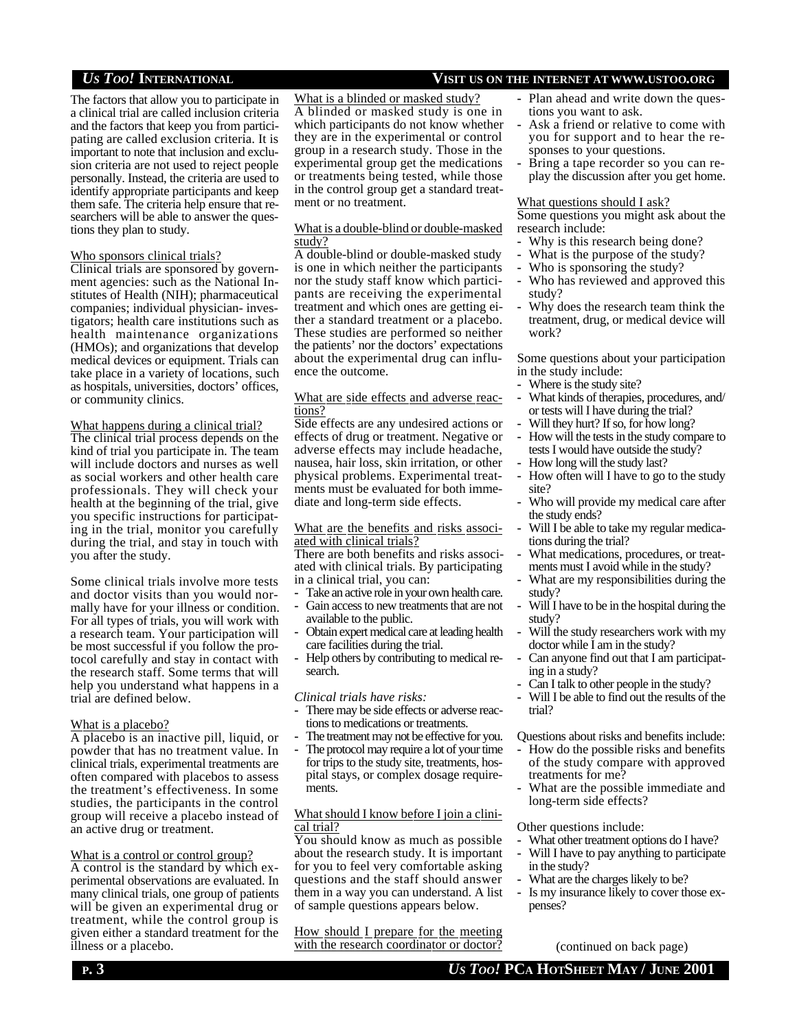The factors that allow you to participate in a clinical trial are called inclusion criteria and the factors that keep you from participating are called exclusion criteria. It is important to note that inclusion and exclusion criteria are not used to reject people personally. Instead, the criteria are used to identify appropriate participants and keep them safe. The criteria help ensure that researchers will be able to answer the questions they plan to study.

### Who sponsors clinical trials?

Clinical trials are sponsored by government agencies: such as the National Institutes of Health (NIH); pharmaceutical companies; individual physician- investigators; health care institutions such as health maintenance organizations (HMOs); and organizations that develop medical devices or equipment. Trials can take place in a variety of locations, such as hospitals, universities, doctors' offices, or community clinics.

## What happens during a clinical trial?

The clinical trial process depends on the kind of trial you participate in. The team will include doctors and nurses as well as social workers and other health care professionals. They will check your health at the beginning of the trial, give you specific instructions for participating in the trial, monitor you carefully during the trial, and stay in touch with you after the study.

Some clinical trials involve more tests and doctor visits than you would normally have for your illness or condition. For all types of trials, you will work with a research team. Your participation will be most successful if you follow the protocol carefully and stay in contact with the research staff. Some terms that will help you understand what happens in a trial are defined below.

## What is a placebo?

A placebo is an inactive pill, liquid, or powder that has no treatment value. In clinical trials, experimental treatments are often compared with placebos to assess the treatment's effectiveness. In some studies, the participants in the control group will receive a placebo instead of an active drug or treatment.

## What is a control or control group?

A control is the standard by which experimental observations are evaluated. In many clinical trials, one group of patients will be given an experimental drug or treatment, while the control group is given either a standard treatment for the illness or a placebo.

# *US TOO!* **INTERNATIONAL VISIT US ON THE INTERNET AT WWW.USTOO.ORG**

- **-** Plan ahead and write down the questions you want to ask.
- **-** Ask a friend or relative to come with you for support and to hear the responses to your questions.
- **-** Bring a tape recorder so you can replay the discussion after you get home.

#### What questions should I ask?

Some questions you might ask about the research include:

- **-** Why is this research being done?
- **-** What is the purpose of the study?
- **-** Who is sponsoring the study?
- **-** Who has reviewed and approved this study?
- **-** Why does the research team think the treatment, drug, or medical device will work?

Some questions about your participation in the study include:

- **-** Where is the study site?
- **-** What kinds of therapies, procedures, and/ or tests will I have during the trial?
- **-** Will they hurt? If so, for how long?
- **-** How will the tests in the study compare to tests I would have outside the study?
- **-** How long will the study last?
- **-** How often will I have to go to the study site?
- **-** Who will provide my medical care after the study ends?
- **-** Will I be able to take my regular medications during the trial?
- **-** What medications, procedures, or treatments must I avoid while in the study?
- **-** What are my responsibilities during the study?
- **-** Will I have to be in the hospital during the study?
- **-** Will the study researchers work with my doctor while I am in the study?
- **-** Can anyone find out that I am participating in a study?
- **-** Can I talk to other people in the study?
- **-** Will I be able to find out the results of the trial?

Questions about risks and benefits include:

- **-** How do the possible risks and benefits of the study compare with approved treatments for me?
- **-** What are the possible immediate and long-term side effects?

Other questions include:

- **-** What other treatment options do I have?
- **-** Will I have to pay anything to participate in the study?
- **-** What are the charges likely to be?
- **-** Is my insurance likely to cover those expenses?

How should I prepare for the meeting with the research coordinator or doctor?

What is a blinded or masked study? A blinded or masked study is one in which participants do not know whether they are in the experimental or control group in a research study. Those in the experimental group get the medications or treatments being tested, while those in the control group get a standard treat-

What is a double-blind or double-masked

A double-blind or double-masked study is one in which neither the participants nor the study staff know which participants are receiving the experimental treatment and which ones are getting either a standard treatment or a placebo. These studies are performed so neither the patients' nor the doctors' expectations about the experimental drug can influ-

What are side effects and adverse reac-

Side effects are any undesired actions or effects of drug or treatment. Negative or adverse effects may include headache, nausea, hair loss, skin irritation, or other physical problems. Experimental treatments must be evaluated for both immediate and long-term side effects.

What are the benefits and risks associ-

There are both benefits and risks associated with clinical trials. By participating

**-** Take an active role in your own health care. **-** Gain access to new treatments that are not

**-** Obtain expert medical care at leading health

**-** Help others by contributing to medical re-

**-** There may be side effects or adverse reactions to medications or treatments. **-** The treatment may not be effective for you. **-** The protocol may require a lot of your time for trips to the study site, treatments, hospital stays, or complex dosage require-

What should I know before I join a clini-

You should know as much as possible about the research study. It is important for you to feel very comfortable asking questions and the staff should answer them in a way you can understand. A list of sample questions appears below.

ated with clinical trials?

in a clinical trial, you can:

available to the public.

*Clinical trials have risks:*

search.

ments.

cal trial?

care facilities during the trial.

ment or no treatment.

ence the outcome.

study?

tions?

(continued on back page)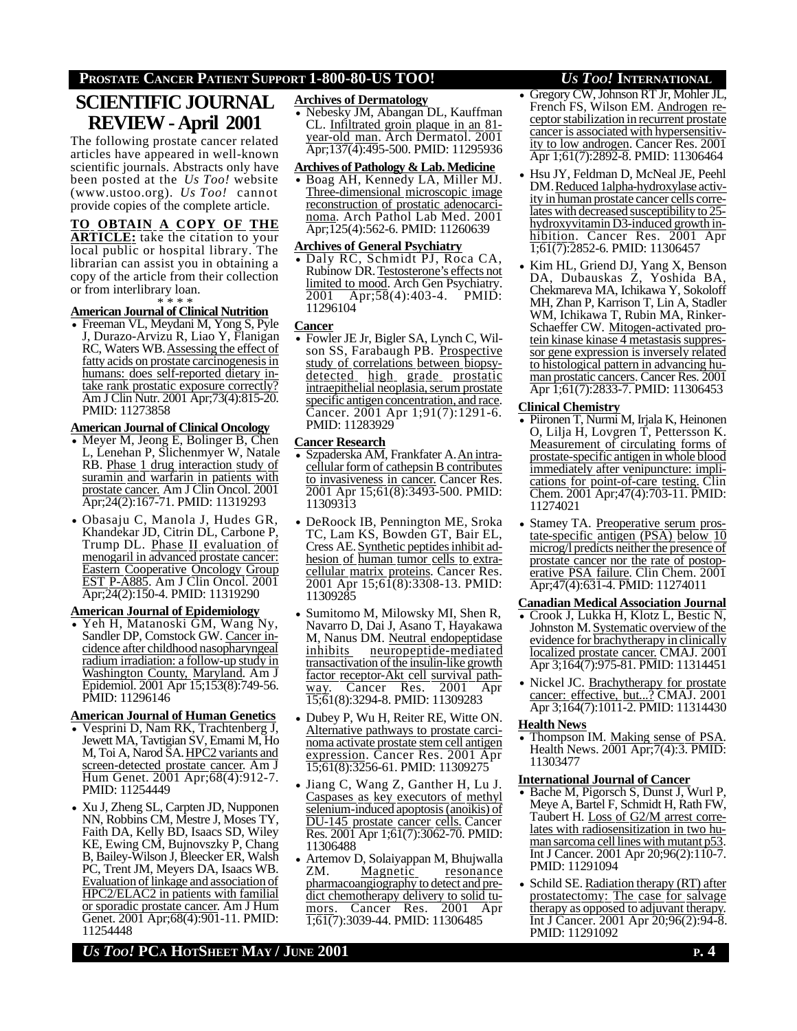# **PROSTATE CANCER PATIENT SUPPORT 1-800-80-US TOO!** *US TOO!* **INTERNATIONAL**

# **SCIENTIFIC JOURNAL REVIEW - April 2001**

The following prostate cancer related articles have appeared in well-known scientific journals. Abstracts only have been posted at the *Us Too!* website (www.ustoo.org). *Us Too!* cannot provide copies of the complete article.

# **TO OBTAIN A COPY OF THE**

**ARTICLE:** take the citation to your local public or hospital library. The librarian can assist you in obtaining a copy of the article from their collection or from interlibrary loan.

# \* \* \* \* **AmericanJournal of Clinical Nutrition**

• Freeman VL, Meydani M, Yong S, Pyle J, Durazo-Arvizu R, Liao Y, Flanigan RC, Waters WB. Assessing the effect of fatty acids on prostate carcinogenesis in humans: does self-reported dietary intake rank prostatic exposure correctly? Am J Clin Nutr. 2001 Apr;73(4):815-20. PMID: 11273858

### **AmericanJournal of Clinical Oncology**

- Meyer M, Jeong E, Bolinger B, Chen L, Lenehan P, Slichenmyer W, Natale RB. Phase 1 drug interaction study of suramin and warfarin in patients with prostate cancer. Am J Clin Oncol. 2001 Apr;24(2):167-71. PMID: 11319293
- Obasaju C, Manola J, Hudes GR, Khandekar JD, Citrin DL, Carbone P, Trump DL. Phase II evaluation of menogaril in advanced prostate cancer: Eastern Cooperative Oncology Group EST P-A885. Am J Clin Oncol. 2001 Apr;24(2):150-4. PMID: 11319290

## **American Journal of Epidemiology**

• Yeh H, Matanoski GM, Wang Ny, Sandler DP, Comstock GW. Cancer incidence after childhood nasopharyngeal radium irradiation: a follow-up study in Washington County, Maryland. Am J Epidemiol. 2001 Apr 15;153(8):749-56. PMID: 11296146

# **American Journal of Human Genetics**

- Vesprini D, Nam RK, Trachtenberg J, Jewett MA, Tavtigian SV, Emami M, Ho M, Toi A, Narod SA. HPC2 variants and screen-detected prostate cancer. Am J Hum Genet. 2001 Apr;68(4):912-7. PMID: 11254449
- Xu J, Zheng SL, Carpten JD, Nupponen NN, Robbins CM, Mestre J, Moses TY, Faith DA, Kelly BD, Isaacs SD, Wiley KE, Ewing CM, Bujnovszky P, Chang B, Bailey-Wilson J, Bleecker ER, Walsh PC, Trent JM, Meyers DA, Isaacs WB. Evaluation of linkage and association of HPC2/ELAC2 in patients with familial or sporadic prostate cancer. Am J Hum Genet. 2001 Apr;68(4):901-11. PMID: 11254448

# **Archives of Dermatology**

• Nebesky JM, Abangan DL, Kauffman CL. Infiltrated groin plaque in an 81 year-old man. Arch Dermatol. 2001 Apr;137(4):495-500. PMID: 11295936

### **Archives of Pathology & Lab.Medicine**

• Boag AH, Kennedy LA, Miller MJ. Three-dimensional microscopic image reconstruction of prostatic adenocarcinoma. Arch Pathol Lab Med. 2001 Apr;125(4):562-6. PMID: 11260639

# **Archives of General Psychiatry**

• Daly RC, Schmidt PJ, Roca CA, Rubinow DR. Testosterone's effects not  $\frac{\text{limited to mood.}}{\text{Apr:}58(4):403-4}$ . PMID:  $\overline{Apr;58}(4):403-4.$  PMID: 11296104

### **Cancer**

• Fowler JE Jr, Bigler SA, Lynch C, Wilson SS, Farabaugh PB. Prospective study of correlations between biopsydetected high grade prostatic intraepithelial neoplasia, serum prostate specific antigen concentration, and race. Cancer. 2001 Apr 1;91(7):1291-6. PMID: 11283929

#### **Cancer Research**

- Szpaderska AM, Frankfater A. An intracellular form of cathepsin B contributes to invasiveness in cancer. Cancer Res. 2001 Apr 15;61(8):3493-500. PMID: 11309313
- DeRoock IB, Pennington ME, Sroka TC, Lam KS, Bowden GT, Bair EL, Cress AE. Synthetic peptidesinhibit adhesion of human tumor cells to extracellular matrix proteins. Cancer Res. 2001 Apr 15;61(8):3308-13. PMID: 11309285
- Sumitomo M, Milowsky MI, Shen R, Navarro D, Dai J, Asano T, Hayakawa M, Nanus DM. Neutral endopeptidase inhibits neuropeptide-mediated transactivation of the insulin-like growth factor receptor-Akt cell survival pathway. Cancer Res. 2001 Apr 15;61(8):3294-8. PMID: 11309283
- Dubey P, Wu H, Reiter RE, Witte ON. Alternative pathways to prostate carcinoma activate prostate stem cell antigen expression. Cancer Res. 2001 Apr 15;61(8):3256-61. PMID: 11309275
- Jiang C, Wang Z, Ganther H, Lu J. Caspases as key executors of methyl selenium-induced apoptosis(anoikis) of DU-145 prostate cancer cells. Cancer Res. 2001 Apr 1;61(7):3062-70. PMID: 11306488
- Artemov D, Solaiyappan M, Bhujwalla<br>ZM. Magnetic resonance Magnetic pharmacoangiography to detect and predict chemotherapy delivery to solid tumors. Cancer Res. 2001 Apr  $\overline{1;61(7)}$ :3039-44. PMID: 11306485

- Gregory CW, Johnson RT Jr, Mohler JL, French FS, Wilson EM. Androgen receptor stabilization in recurrent prostate cancer is associated with hypersensitivity to low androgen. Cancer Res. 2001 Apr 1;61(7):2892-8. PMID: 11306464
- Hsu JY, Feldman D, McNeal JE, Peehl DM. Reduced 1alpha-hydroxylase activity in human prostate cancer cells correlates with decreased susceptibility to 25 hydroxyvitamin D3-induced growth inhibition. Cancer Res. 2001 Apr 1;61(7):2852-6. PMID: 11306457
- Kim HL, Griend DJ, Yang X, Benson DA, Dubauskas Z, Yoshida BA, Chekmareva MA, Ichikawa Y, Sokoloff MH, Zhan P, Karrison T, Lin A, Stadler WM, Ichikawa T, Rubin MA, Rinker-Schaeffer CW. Mitogen-activated protein kinase kinase 4 metastasis suppressor gene expression is inversely related to histological pattern in advancing human prostatic cancers. Cancer Res. 2001 Apr 1;61(7):2833-7. PMID: 11306453

#### **Clinical Chemistry**

- Piironen T, Nurmi M, Irjala K, Heinonen O, Lilja H, Lovgren T, Pettersson K. Measurement of circulating forms of prostate-specific antigen in whole blood immediately after venipuncture: implications for point-of-care testing. Clin Chem. 2001 Apr;47(4):703-11. PMID: 11274021
- Stamey TA. Preoperative serum prostate-specific antigen (PSA) below 10 microg/l predicts neither the presence of prostate cancer nor the rate of postoperative PSA failure. Clin Chem. 2001 Apr;47(4):631-4. PMID: 11274011

#### **Canadian Medical Association Journal**

- Crook J, Lukka H, Klotz L, Bestic N, Johnston M. Systematic overview of the evidence for brachytherapy in clinically localized prostate cancer. CMAJ. 2001 Apr 3;164(7):975-81. PMID: 11314451
- Nickel JC. Brachytherapy for prostate cancer: effective, but...? CMAJ. 2001 Apr 3;164(7):1011-2. PMID: 11314430

### **Health News**

• Thompson IM. Making sense of PSA Health News. 2001 Apr; 7(4): 3. PMID: 11303477

#### **International Journal of Cancer**

- Bache M, Pigorsch S, Dunst J, Wurl P, Meye A, Bartel F, Schmidt H, Rath FW, Taubert H. Loss of G2/M arrest correlates with radiosensitization in two human sarcoma cell lines with mutant p53. Int J Cancer. 2001 Apr 20;96(2):110-7. PMID: 11291094
- Schild SE. Radiation therapy (RT) after prostatectomy: The case for salvage therapy as opposed to adjuvant therapy. Int J Cancer. 2001 Apr 20;96(2):94-8. PMID: 11291092

*US TOO!* **PCA HOTSHEET MAY / JUNE 2001 P. 4**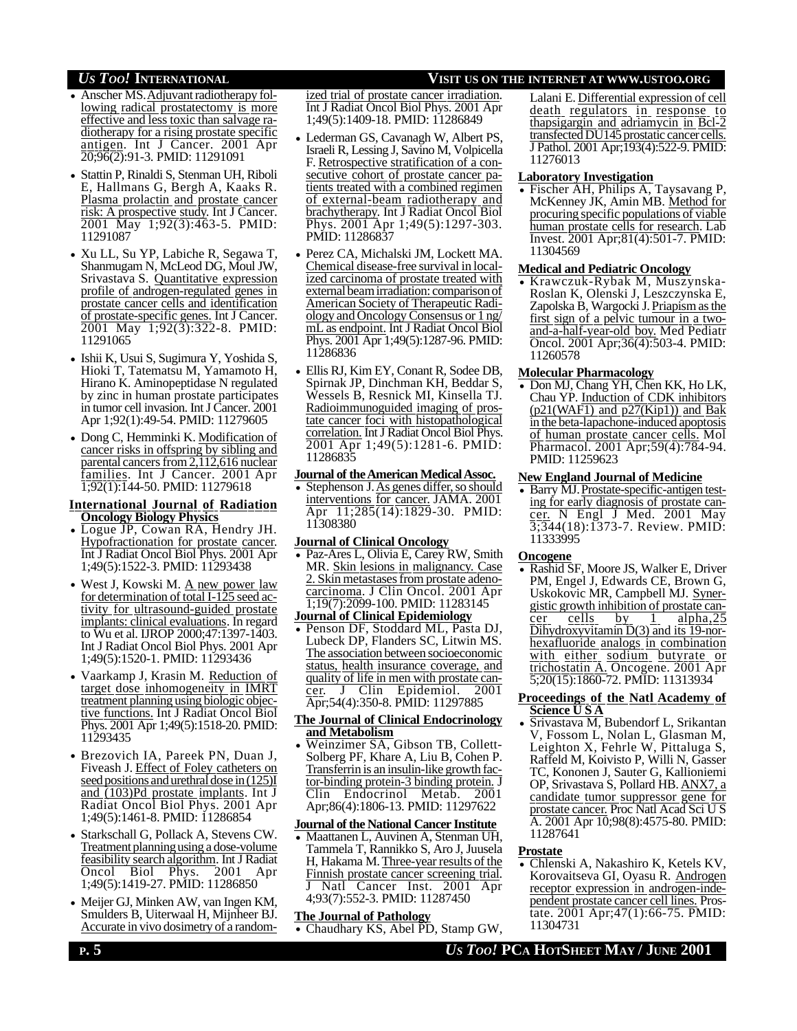- Anscher MS. Adjuvant radiotherapy following radical prostatectomy is more effective and less toxic than salvage radiotherapy for a rising prostate specific antigen. Int J Cancer. 2001 Apr 20;96(2):91-3. PMID: 11291091
- Stattin P, Rinaldi S, Stenman UH, Riboli E, Hallmans G, Bergh A, Kaaks R. Plasma prolactin and prostate cancer risk: A prospective study. Int J Cancer. 2001 May 1;92(3):463-5. PMID: 11291087
- Xu LL, Su YP, Labiche R, Segawa T, Shanmugam N, McLeod DG, Moul JW, Srivastava S. Quantitative expression profile of androgen-regulated genes in prostate cancer cells and identification of prostate-specific genes. Int J Cancer. 2001 May 1;92(3):322-8. PMID: 11291065
- Ishii K, Usui S, Sugimura Y, Yoshida S, Hioki T, Tatematsu M, Yamamoto H, Hirano K. Aminopeptidase N regulated by zinc in human prostate participates in tumor cell invasion. Int J Cancer. 2001 Apr 1;92(1):49-54. PMID: 11279605
- Dong C, Hemminki K. Modification of cancer risks in offspring by sibling and parental cancers from 2,112,616 nuclear families. Int J Cancer. 2001 Apr 1;92(1):144-50. PMID: 11279618

### **International Journal of Radiation Oncology Biology Physics**

- Logue JP, Cowan RA, Hendry JH. Hypofractionation for prostate cancer. Int J Radiat Oncol Biol Phys. 2001 Apr 1;49(5):1522-3. PMID: 11293438
- West J, Kowski M. <u>A new power law</u><br>for determination of total I-125 seed activity for ultrasound-guided prostate implants: clinical evaluations. In regard to Wu et al. IJROP 2000;47:1397-1403. Int J Radiat Oncol Biol Phys. 2001 Apr 1;49(5):1520-1. PMID: 11293436
- Vaarkamp J, Krasin M. Reduction of target dose inhomogeneity in IMRT treatment planning using biologic objective functions. Int J Radiat Oncol Biol Phys. 2001 Apr 1;49(5):1518-20. PMID: 11293435
- Brezovich IA, Pareek PN, Duan J, Fiveash J. Effect of Foley catheters on seed positions and urethral dose in (125)I and (103)Pd prostate implants. Int J Radiat Oncol Biol Phys. 2001 Apr 1;49(5):1461-8. PMID: 11286854
- Starkschall G, Pollack A, Stevens CW. Treatment planning using a dose-volume feasibility search algorithm. Int J Radiat Oncol Biol Phys. 2001 Apr 1;49(5):1419-27. PMID: 11286850
- Meijer GJ, Minken AW, van Ingen KM, Smulders B, Uiterwaal H, Mijnheer BJ. Accurate in vivo dosimetry of a random-

#### ized trial of prostate cancer irradiation. Int J Radiat Oncol Biol Phys. 2001 Apr 1;49(5):1409-18. PMID: 11286849

- Lederman GS, Cavanagh W, Albert PS, Israeli R, Lessing J, Savino M, Volpicella F. Retrospective stratification of a consecutive cohort of prostate cancer patients treated with a combined regimen of external-beam radiotherapy and brachytherapy. Int J Radiat Oncol Biol Phys. 2001 Apr 1;49(5):1297-303. PMID: 11286837
- Perez CA, Michalski JM, Lockett MA. Chemical disease-free survival in localized carcinoma of prostate treated with external beam irradiation: comparison of American Society of Therapeutic Radiology and Oncology Consensus or 1 ng/ mL as endpoint. Int J Radiat Oncol Biol Phys. 2001 Apr 1;49(5):1287-96. PMID: 11286836
- Ellis RJ, Kim EY, Conant R, Sodee DB, Spirnak JP, Dinchman KH, Beddar S, Wessels B, Resnick MI, Kinsella TJ. Radioimmunoguided imaging of prostate cancer foci with histopathological correlation. Int J Radiat Oncol Biol Phys. 2001 Apr 1;49(5):1281-6. PMID: 11286835

#### **Journal of theAmerican MedicalAssoc.**

• Stephenson J. As genes differ, so should interventions for cancer. JAMA. 2001 Apr 11;285(14):1829-30. PMID: 11308380

### **Journal of Clinical Oncology**

- Paz-Ares L, Olivia E, Carey RW, Smith MR. Skin lesions in malignancy. Case 2. Skin metastases from prostate adenocarcinoma. J Clin Oncol. 2001 Apr 1;19(7):2099-100. PMID: 11283145
- **Journal of Clinical Epidemiology** • Penson DF, Stoddard ML, Pasta DJ, Lubeck DP, Flanders SC, Litwin MS. The association between socioeconomic status, health insurance coverage, and quality of life in men with prostate cancer. J Clin Epidemiol. 2001 Apr;54(4):350-8. PMID: 11297885

### **The Journal of Clinical Endocrinology and Metabolism**

• Weinzimer SA, Gibson TB, Collett-Solberg PF, Khare A, Liu B, Cohen P. Transferrin is an insulin-like growth factor-binding protein-3 binding protein. J<br>Clin Endocrinol Metab. 2001 Clin Endocrinol Metab. Apr;86(4):1806-13. PMID: 11297622

#### **Journal of the National Cancer Institute**

• Maattanen L, Auvinen A, Stenman UH, Tammela T, Rannikko S, Aro J, Juusela H, Hakama M. Three-year results of the Finnish prostate cancer screening trial. J Natl Cancer Inst. 2001 Apr 4;93(7):552-3. PMID: 11287450

### **The Journal of Pathology**

• Chaudhary KS, Abel PD, Stamp GW,

# *US TOO!* **INTERNATIONAL VISIT US ON THE INTERNET AT WWW.USTOO.ORG**

Lalani E. Differential expression of cell death regulators in response to thapsigargin and adriamycin in Bcl-2 transfected DU145 prostatic cancer cells. J Pathol. 2001 Apr;193(4):522-9. PMID: 11276013

### **Laboratory Investigation**

• Fischer AH, Philips A, Taysavang P, McKenney JK, Amin MB. Method for procuring specific populations of viable human prostate cells for research. Lab Invest. 2001 Apr;81(4):501-7. PMID: 11304569

## **Medical and Pediatric Oncology**

• Krawczuk-Rybak M, Muszynska-Roslan K, Olenski J, Leszczynska E, Zapolska B, Wargocki J. Priapismasthe first sign of a pelvic tumour in a twoand-a-half-year-old boy. Med Pediatr Oncol. 2001 Apr;36(4):503-4. PMID: 11260578

## **Molecular Pharmacology**

• Don MJ, Chang YH, Chen KK, Ho LK, Chau YP. Induction of CDK inhibitors  $(p21(WAF1)$  and  $p27(Kip1))$  and Bak in the beta-lapachone-induced apoptosis of human prostate cancer cells. Mol Pharmacol. 2001 Apr;59(4):784-94. PMID: 11259623

## **New England Journal of Medicine**

• Barry MJ. Prostate-specific-antigen testing for early diagnosis of prostate cancer. N Engl J Med. 2001 May  $3,344(18)$ : 1373-7. Review. PMID: 11333995

### **Oncogene**

• Rashid SF, Moore JS, Walker E, Driver PM, Engel J, Edwards CE, Brown G, Uskokovic MR, Campbell MJ. Synergistic growth inhibition of prostate can $c$ er cells by 1 alpha,  $25$ Dihydroxyvitamin D(3) and its 19-norhexafluoride analogs in combination with either sodium butyrate or trichostatin A. Oncogene. 2001 Apr 5;20(15):1860-72. PMID: 11313934

#### **Proceedings of the Natl Academy of Science U S A**

• Srivastava M, Bubendorf L, Srikantan V, Fossom L, Nolan L, Glasman M, Leighton X, Fehrle W, Pittaluga S, Raffeld M, Koivisto P, Willi N, Gasser TC, Kononen J, Sauter G, Kallioniemi OP, Srivastava S, Pollard HB. ANX7, a candidate tumor suppressor gene for prostate cancer. Proc Natl Acad Sci U S A. 2001 Apr 10;98(8):4575-80. PMID: 11287641

## **Prostate**

• Chlenski A, Nakashiro K, Ketels KV, Korovaitseva GI, Oyasu R. Androgen receptor expression in androgen-independent prostate cancer cell lines. Prostate. 2001 Apr;47(1):66-75. PMID: 11304731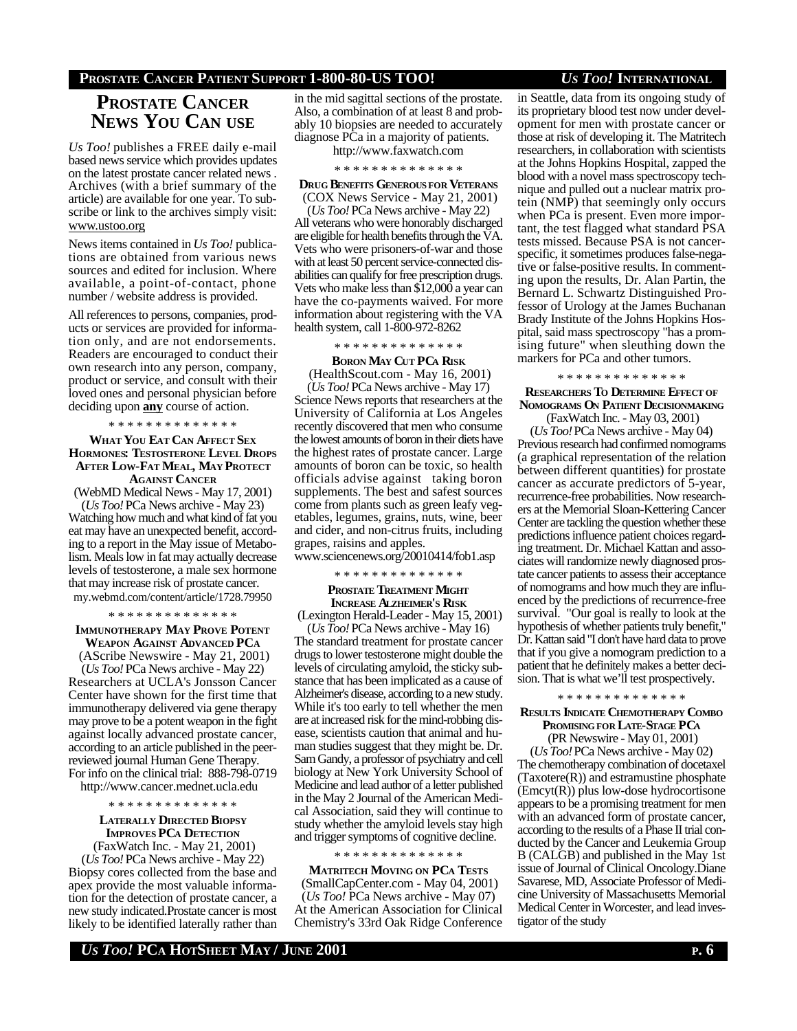# **PROSTATE CANCER PATIENT SUPPORT 1-800-80-US TOO!** *US TOO!* **INTERNATIONAL**

# **PROSTATE CANCER NEWS YOU CAN USE**

*Us Too!* publishes a FREE daily e-mail based news service which provides updates on the latest prostate cancer related news . Archives (with a brief summary of the article) are available for one year. To subscribe or link to the archives simply visit: www.ustoo.org

News items contained in *Us Too!* publications are obtained from various news sources and edited for inclusion. Where available, a point-of-contact, phone number / website address is provided.

All references to persons, companies, products or services are provided for information only, and are not endorsements. Readers are encouraged to conduct their own research into any person, company, product or service, and consult with their loved ones and personal physician before deciding upon **any** course of action.

\* \* \* \* \* \* \* \* \* \* \* \* \* \*

#### **WHAT YOU EAT CAN AFFECT SEX HORMONES: TESTOSTERONE LEVEL DROPS AFTER LOW-FAT MEAL, MAY PROTECT AGAINST CANCER**

(WebMD Medical News - May 17, 2001)

(*Us Too!* PCa News archive - May 23) Watching how much and what kind of fat you eat may have an unexpected benefit, according to a report in the May issue of Metabolism. Meals low in fat may actually decrease levels of testosterone, a male sex hormone that may increase risk of prostate cancer. my.webmd.com/content/article/1728.79950

## \* \* \* \* \* \* \* \* \* \* \* \* \* \* **IMMUNOTHERAPY MAY PROVE POTENT**

**WEAPON AGAINST ADVANCED PC<sup>A</sup>** (AScribe Newswire - May 21, 2001)

(*Us Too!* PCa News archive - May 22) Researchers at UCLA's Jonsson Cancer Center have shown for the first time that immunotherapy delivered via gene therapy may prove to be a potent weapon in the fight against locally advanced prostate cancer, according to an article published in the peerreviewed journal Human Gene Therapy. For info on the clinical trial: 888-798-0719

http://www.cancer.mednet.ucla.edu

#### \* \* \* \* \* \* \* \* \* \* \* \* \* \*

**LATERALLY DIRECTED BIOPSY IMPROVES PCA DETECTION** (FaxWatch Inc. - May 21, 2001)

(*Us Too!* PCa News archive - May 22) Biopsy cores collected from the base and apex provide the most valuable information for the detection of prostate cancer, a new study indicated.Prostate cancer is most likely to be identified laterally rather than in the mid sagittal sections of the prostate. Also, a combination of at least 8 and probably 10 biopsies are needed to accurately diagnose PCa in a majority of patients.

http://www.faxwatch.com

#### \* \* \* \* \* \* \* \* \* \* \* \* \* \*

**DRUG BENEFITS GENEROUSFOR VETERANS** (COX News Service - May 21, 2001)

(*Us Too!* PCa News archive - May 22) All veterans who were honorably discharged are eligible for health benefits through the VA. Vets who were prisoners-of-war and those with at least 50 percent service-connected disabilities can qualify for free prescription drugs. Vets who make less than \$12,000 a year can have the co-payments waived. For more information about registering with the VA health system, call 1-800-972-8262

# \* \* \* \* \* \* \* \* \* \* \* \* \* \*

**BORON MAY CUT PCA RISK** (HealthScout.com - May 16, 2001)

(*Us Too!* PCa News archive - May 17) Science News reports that researchers at the University of California at Los Angeles recently discovered that men who consume the lowest amounts of boron in their diets have the highest rates of prostate cancer. Large amounts of boron can be toxic, so health officials advise against taking boron supplements. The best and safest sources come from plants such as green leafy vegetables, legumes, grains, nuts, wine, beer and cider, and non-citrus fruits, including grapes, raisins and apples. www.sciencenews.org/20010414/fob1.asp

\* \* \* \* \* \* \* \* \* \* \* \* \* \*

### **PROSTATE TREATMENT MIGHT INCREASE ALZHEIMER'S RISK**

(Lexington Herald-Leader - May 15, 2001)

(*Us Too!* PCa News archive - May 16) The standard treatment for prostate cancer drugs to lower testosterone might double the levels of circulating amyloid, the sticky substance that has been implicated as a cause of Alzheimer's disease, according to a new study. While it's too early to tell whether the men are at increased risk for the mind-robbing disease, scientists caution that animal and human studies suggest that they might be. Dr. Sam Gandy, a professor of psychiatry and cell biology at New York University School of Medicine and lead author of a letter published in the May 2 Journal of the American Medical Association, said they will continue to study whether the amyloid levels stay high and trigger symptoms of cognitive decline.

## \* \* \* \* \* \* \* \* \* \* \* \* \* \*

**MATRITECH MOVING ON PCA TESTS** (SmallCapCenter.com - May 04, 2001) (*Us Too!* PCa News archive - May 07) At the American Association for Clinical Chemistry's 33rd Oak Ridge Conference in Seattle, data from its ongoing study of its proprietary blood test now under development for men with prostate cancer or those at risk of developing it. The Matritech researchers, in collaboration with scientists at the Johns Hopkins Hospital, zapped the blood with a novel mass spectroscopy technique and pulled out a nuclear matrix protein (NMP) that seemingly only occurs when PCa is present. Even more important, the test flagged what standard PSA tests missed. Because PSA is not cancerspecific, it sometimes produces false-negative or false-positive results. In commenting upon the results, Dr. Alan Partin, the Bernard L. Schwartz Distinguished Professor of Urology at the James Buchanan Brady Institute of the Johns Hopkins Hospital, said mass spectroscopy "has a promising future" when sleuthing down the markers for PCa and other tumors.

#### \* \* \* \* \* \* \* \* \* \* \* \* \* \*

**RESEARCHERS TO DETERMINE EFFECT OF NOMOGRAMS ON PATIENT DECISIONMAKING**

 (FaxWatch Inc. - May 03, 2001) (*Us Too!* PCa News archive - May 04) Previous research had confirmed nomograms (a graphical representation of the relation between different quantities) for prostate cancer as accurate predictors of 5-year, recurrence-free probabilities. Now researchers at the Memorial Sloan-Kettering Cancer Center are tackling the question whether these predictions influence patient choices regarding treatment. Dr. Michael Kattan and associates will randomize newly diagnosed prostate cancer patients to assess their acceptance of nomograms and how much they are influenced by the predictions of recurrence-free survival. "Our goal is really to look at the hypothesis of whether patients truly benefit," Dr. Kattan said "I don't have hard data to prove that if you give a nomogram prediction to a patient that he definitely makes a better decision. That is what we'll test prospectively.

#### \* \* \* \* \* \* \* \* \* \* \* \* \* \*

## **RESULTS INDICATE CHEMOTHERAPY COMBO PROMISING FOR LATE-STAGE PC<sup>A</sup>**

 (PR Newswire - May 01, 2001) (*Us Too!* PCa News archive - May 02) The chemotherapy combination of docetaxel  $(Taxotere(R))$  and estramustine phosphate  $(Emcyt(R))$  plus low-dose hydrocortisone appears to be a promising treatment for men with an advanced form of prostate cancer, according to the results of a Phase II trial conducted by the Cancer and Leukemia Group B (CALGB) and published in the May 1st issue of Journal of Clinical Oncology.Diane Savarese, MD, Associate Professor of Medicine University of Massachusetts Memorial Medical Center in Worcester, and lead investigator of the study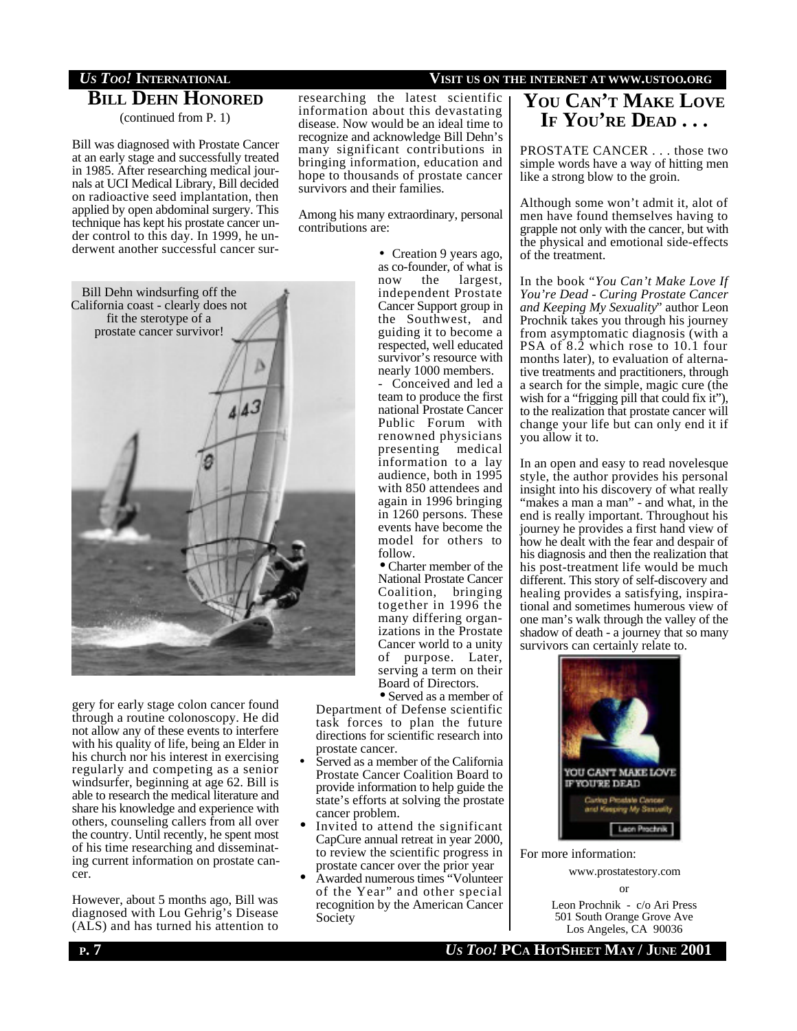# **BILL DEHN HONORED**

(continued from P. 1)

Bill was diagnosed with Prostate Cancer at an early stage and successfully treated in 1985. After researching medical journals at UCI Medical Library, Bill decided on radioactive seed implantation, then applied by open abdominal surgery. This technique has kept his prostate cancer under control to this day. In 1999, he underwent another successful cancer sur-



gery for early stage colon cancer found through a routine colonoscopy. He did not allow any of these events to interfere with his quality of life, being an Elder in his church nor his interest in exercising regularly and competing as a senior windsurfer, beginning at age 62. Bill is able to research the medical literature and share his knowledge and experience with others, counseling callers from all over the country. Until recently, he spent most of his time researching and disseminating current information on prostate cancer.

However, about 5 months ago, Bill was diagnosed with Lou Gehrig's Disease (ALS) and has turned his attention to researching the latest scientific information about this devastating disease. Now would be an ideal time to recognize and acknowledge Bill Dehn's many significant contributions in bringing information, education and hope to thousands of prostate cancer survivors and their families.

Among his many extraordinary, personal contributions are:

> • Creation 9 years ago, as co-founder, of what is now the largest, independent Prostate Cancer Support group in the Southwest, and guiding it to become a respected, well educated survivor's resource with nearly 1000 members.

> Conceived and led a team to produce the first national Prostate Cancer Public Forum with renowned physicians presenting medical information to a lay audience, both in 1995 with 850 attendees and again in 1996 bringing in 1260 persons. These events have become the model for others to follow.

• Charter member of the National Prostate Cancer Coalition, bringing together in 1996 the many differing organizations in the Prostate Cancer world to a unity of purpose. Later, serving a term on their Board of Directors.

• Served as a member of

Department of Defense scientific task forces to plan the future directions for scientific research into prostate cancer.

- Served as a member of the California Prostate Cancer Coalition Board to provide information to help guide the state's efforts at solving the prostate cancer problem.
- Invited to attend the significant CapCure annual retreat in year 2000, to review the scientific progress in prostate cancer over the prior year
- Awarded numerous times "Volunteer of the Year" and other special recognition by the American Cancer Society

# *US TOO!* **INTERNATIONAL VISIT US ON THE INTERNET AT WWW.USTOO.ORG**

# **YOU CAN'T MAKE LOVE IF YOU'RE DEAD . . .**

PROSTATE CANCER . . . those two simple words have a way of hitting men like a strong blow to the groin.

Although some won't admit it, alot of men have found themselves having to grapple not only with the cancer, but with the physical and emotional side-effects of the treatment.

In the book "*You Can't Make Love If You're Dead - Curing Prostate Cancer and Keeping My Sexuality*" author Leon Prochnik takes you through his journey from asymptomatic diagnosis (with a PSA of 8.2 which rose to 10.1 four months later), to evaluation of alternative treatments and practitioners, through a search for the simple, magic cure (the wish for a "frigging pill that could fix it"), to the realization that prostate cancer will change your life but can only end it if you allow it to.

In an open and easy to read novelesque style, the author provides his personal insight into his discovery of what really "makes a man a man" - and what, in the end is really important. Throughout his journey he provides a first hand view of how he dealt with the fear and despair of his diagnosis and then the realization that his post-treatment life would be much different. This story of self-discovery and healing provides a satisfying, inspirational and sometimes humerous view of one man's walk through the valley of the shadow of death - a journey that so many survivors can certainly relate to.



For more information:

www.prostatestory.com

or

Leon Prochnik - c/o Ari Press 501 South Orange Grove Ave Los Angeles, CA 90036